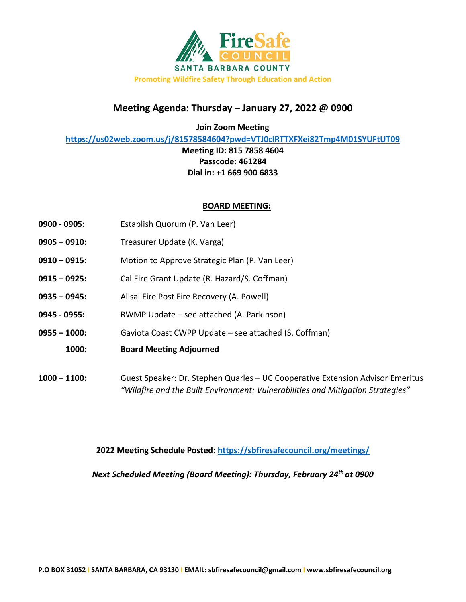

# **Meeting Agenda: Thursday – January 27, 2022 @ 0900**

**Join Zoom Meeting**

**<https://us02web.zoom.us/j/81578584604?pwd=VTJ0clRTTXFXei82Tmp4M01SYUFtUT09>**

**Meeting ID: 815 7858 4604 Passcode: 461284 Dial in: +1 669 900 6833**

#### **BOARD MEETING:**

- **0900 - 0905:** Establish Quorum (P. Van Leer)
- **0905 – 0910:** Treasurer Update (K. Varga)
- **0910 – 0915:** Motion to Approve Strategic Plan (P. Van Leer)
- **0915 – 0925:** Cal Fire Grant Update (R. Hazard/S. Coffman)
- **0935 – 0945:** Alisal Fire Post Fire Recovery (A. Powell)
- **0945 - 0955:** RWMP Update see attached (A. Parkinson)
- **0955 – 1000:** Gaviota Coast CWPP Update see attached (S. Coffman)
	- **1000: Board Meeting Adjourned**
- **1000 – 1100:** Guest Speaker: Dr. Stephen Quarles UC Cooperative Extension Advisor Emeritus *"Wildfire and the Built Environment: Vulnerabilities and Mitigation Strategies"*

**2022 Meeting Schedule Posted:<https://sbfiresafecouncil.org/meetings/>**

*Next Scheduled Meeting (Board Meeting): Thursday, February 24th at 0900*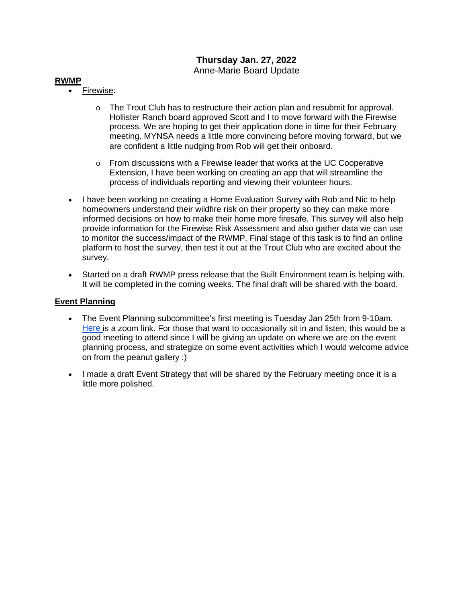## **Thursday Jan. 27, 2022** Anne-Marie Board Update

### **RWMP**

- Firewise:
	- $\circ$  The Trout Club has to restructure their action plan and resubmit for approval. Hollister Ranch board approved Scott and I to move forward with the Firewise process. We are hoping to get their application done in time for their February meeting. MYNSA needs a little more convincing before moving forward, but we are confident a little nudging from Rob will get their onboard.
	- $\circ$  From discussions with a Firewise leader that works at the UC Cooperative Extension, I have been working on creating an app that will streamline the process of individuals reporting and viewing their volunteer hours.
- I have been working on creating a Home Evaluation Survey with Rob and Nic to help homeowners understand their wildfire risk on their property so they can make more informed decisions on how to make their home more firesafe. This survey will also help provide information for the Firewise Risk Assessment and also gather data we can use to monitor the success/impact of the RWMP. Final stage of this task is to find an online platform to host the survey, then test it out at the Trout Club who are excited about the survey.
- Started on a draft RWMP press release that the Built Environment team is helping with. It will be completed in the coming weeks. The final draft will be shared with the board.

### **Event Planning**

- The Event Planning subcommittee's first meeting is Tuesday Jan 25th from 9-10am. [Here i](https://ucsb.zoom.us/j/86004634028)s a zoom link. For those that want to occasionally sit in and listen, this would be a good meeting to attend since I will be giving an update on where we are on the event planning process, and strategize on some event activities which I would welcome advice on from the peanut gallery :)
- I made a draft Event Strategy that will be shared by the February meeting once it is a little more polished.